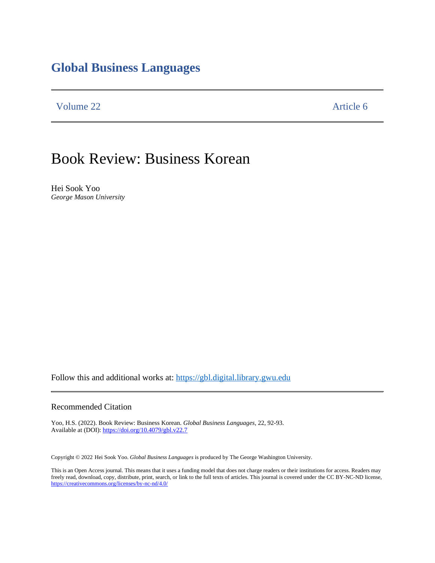## **Global Business Languages**

Volume 22 Article 6

# Book Review: Business Korean

Hei Sook Yoo *George Mason University*

Follow this and additional works at: [https://gbl.digital.library.gwu.edu](https://gbl.digital.library.gwu.edu/)

#### Recommended Citation

Yoo, H.S. (2022). Book Review: Business Korean. *Global Business Languages*, 22, 92-93. Available at (DOI)[: https://doi.org/10.4079/gbl.v22.7](https://doi.org/10.4079/gbl.v22.7)

Copyright © 2022 Hei Sook Yoo. *Global Business Languages* is produced by The George Washington University.

This is an Open Access journal. This means that it uses a funding model that does not charge readers or their institutions for access. Readers may freely read, download, copy, distribute, print, search, or link to the full texts of articles. This journal is covered under the CC BY-NC-ND license, <https://creativecommons.org/licenses/by-nc-nd/4.0/>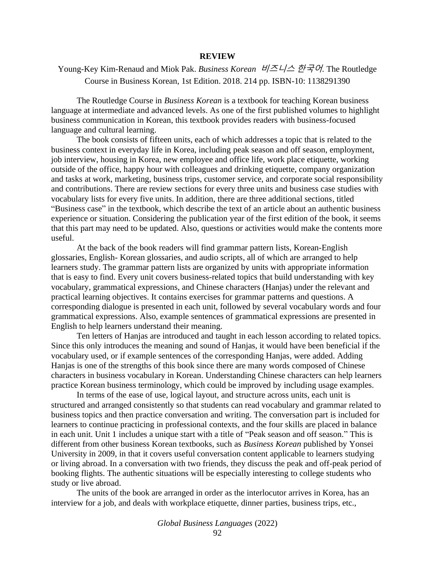#### **REVIEW**

### [Young-Key Kim-Renaud](https://www.amazon.com/s/ref=dp_byline_sr_book_1?ie=UTF8&field-author=Young-Key+Kim-Renaud&text=Young-Key+Kim-Renaud&sort=relevancerank&search-alias=books) and [Miok Pak.](https://www.amazon.com/s/ref=dp_byline_sr_book_2?ie=UTF8&field-author=Miok+Pak&text=Miok+Pak&sort=relevancerank&search-alias=books) *Business Korean* 비즈니스 한국어*.* The Routledge Course in Business Korean, 1st Edition. 2018. 214 pp. ISBN-10: 1138291390

The Routledge Course in *Business Korean* is a textbook for teaching Korean business language at intermediate and advanced levels. As one of the first published volumes to highlight business communication in Korean, this textbook provides readers with business-focused language and cultural learning.

The book consists of fifteen units, each of which addresses a topic that is related to the business context in everyday life in Korea, including peak season and off season, employment, job interview, housing in Korea, new employee and office life, work place etiquette, working outside of the office, happy hour with colleagues and drinking etiquette, company organization and tasks at work, marketing, business trips, customer service, and corporate social responsibility and contributions. There are review sections for every three units and business case studies with vocabulary lists for every five units. In addition, there are three additional sections, titled "Business case" in the textbook, which describe the text of an article about an authentic business experience or situation. Considering the publication year of the first edition of the book, it seems that this part may need to be updated. Also, questions or activities would make the contents more useful.

At the back of the book readers will find grammar pattern lists, Korean-English glossaries, English- Korean glossaries, and audio scripts, all of which are arranged to help learners study. The grammar pattern lists are organized by units with appropriate information that is easy to find. Every unit covers business-related topics that build understanding with key vocabulary, grammatical expressions, and Chinese characters (Hanjas) under the relevant and practical learning objectives. It contains exercises for grammar patterns and questions. A corresponding dialogue is presented in each unit, followed by several vocabulary words and four grammatical expressions. Also, example sentences of grammatical expressions are presented in English to help learners understand their meaning.

Ten letters of Hanjas are introduced and taught in each lesson according to related topics. Since this only introduces the meaning and sound of Hanjas, it would have been beneficial if the vocabulary used, or if example sentences of the corresponding Hanjas, were added. Adding Hanjas is one of the strengths of this book since there are many words composed of Chinese characters in business vocabulary in Korean. Understanding Chinese characters can help learners practice Korean business terminology, which could be improved by including usage examples.

In terms of the ease of use, logical layout, and structure across units, each unit is structured and arranged consistently so that students can read vocabulary and grammar related to business topics and then practice conversation and writing. The conversation part is included for learners to continue practicing in professional contexts, and the four skills are placed in balance in each unit. Unit 1 includes a unique start with a title of "Peak season and off season." This is different from other business Korean textbooks, such as *Business Korean* published by Yonsei University in 2009, in that it covers useful conversation content applicable to learners studying or living abroad. In a conversation with two friends, they discuss the peak and off-peak period of booking flights. The authentic situations will be especially interesting to college students who study or live abroad.

The units of the book are arranged in order as the interlocutor arrives in Korea, has an interview for a job, and deals with workplace etiquette, dinner parties, business trips, etc.,